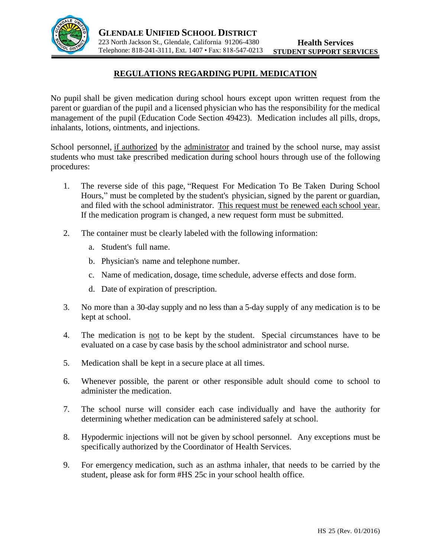

## **REGULATIONS REGARDING PUPIL MEDICATION**

No pupil shall be given medication during school hours except upon written request from the parent or guardian of the pupil and a licensed physician who has the responsibility for the medical management of the pupil (Education Code Section 49423). Medication includes all pills, drops, inhalants, lotions, ointments, and injections.

School personnel, if authorized by the administrator and trained by the school nurse, may assist students who must take prescribed medication during school hours through use of the following procedures:

- 1. The reverse side of this page, "Request For Medication To Be Taken During School Hours," must be completed by the student's physician, signed by the parent or guardian, and filed with the school administrator. This request must be renewed each school year. If the medication program is changed, a new request form must be submitted.
- 2. The container must be clearly labeled with the following information:
	- a. Student's full name.
	- b. Physician's name and telephone number.
	- c. Name of medication, dosage, time schedule, adverse effects and dose form.
	- d. Date of expiration of prescription.
- 3. No more than a 30-day supply and no less than a 5-day supply of any medication is to be kept at school.
- 4. The medication is not to be kept by the student. Special circumstances have to be evaluated on a case by case basis by the school administrator and school nurse.
- 5. Medication shall be kept in a secure place at all times.
- 6. Whenever possible, the parent or other responsible adult should come to school to administer the medication.
- 7. The school nurse will consider each case individually and have the authority for determining whether medication can be administered safely at school.
- 8. Hypodermic injections will not be given by school personnel. Any exceptions must be specifically authorized by the Coordinator of Health Services.
- 9. For emergency medication, such as an asthma inhaler, that needs to be carried by the student, please ask for form #HS 25c in your school health office.